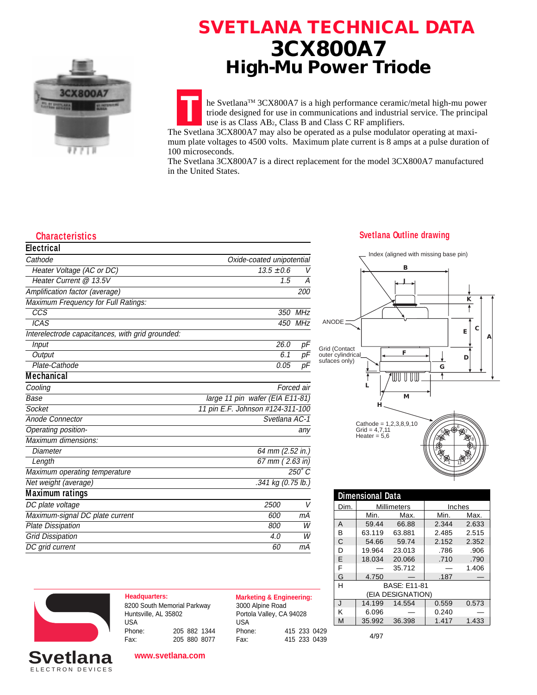

## **SVETLANA TECHNICAL DATA 3CX800A7 High-Mu Power Triode**

he SvetlanaTM 3CX800A7 is a high performance ceramic/metal high-mu power triode designed for use in communications and industrial service. The principal use is as Class AB2, Class B and Class C RF amplifiers.

**T** The Svetlana 3CX800A7 may also be operated as a pulse modulator operating at maximum plate voltages to 4500 volts. Maximum plate current is 8 amps at a pulse duration of 100 microseconds.

The Svetlana 3CX800A7 is a direct replacement for the model 3CX800A7 manufactured in the United States.

| <b>Electrical</b>                                |                                  |               |
|--------------------------------------------------|----------------------------------|---------------|
| Cathode                                          | Oxide-coated unipotential        |               |
| Heater Voltage (AC or DC)                        | $13.5 \pm 0.6$                   | V             |
| Heater Current @ 13.5V                           | 1.5                              | А             |
| Amplification factor (average)                   |                                  | 200           |
| Maximum Frequency for Full Ratings:              |                                  |               |
| $\overline{CCS}$                                 | 350                              | <b>MHz</b>    |
| <b>ICAS</b>                                      |                                  | 450 MHz       |
| Interelectrode capacitances, with grid grounded: |                                  |               |
| Input                                            | 26.0                             | рF            |
| Output                                           | 6.1                              | pF            |
| Plate-Cathode                                    | 0.05                             | рF            |
| <b>Mechanical</b>                                |                                  |               |
| Cooling                                          |                                  | Forced air    |
| Base                                             | large 11 pin wafer (EIA E11-81)  |               |
| Socket                                           | 11 pin E.F. Johnson #124-311-100 |               |
| Anode Connector                                  | Svetlana AC-1                    |               |
| Operating position-                              |                                  | any           |
| Maximum dimensions:                              |                                  |               |
| Diameter                                         | 64 mm (2.52 in.)                 |               |
| Length                                           | 67 mm (2.63 in)                  |               |
| Maximum operating temperature                    |                                  | $250^\circ C$ |
| Net weight (average)                             | .341 kg (0.75 lb.)               |               |
| <b>Maximum ratings</b>                           |                                  |               |
| DC plate voltage                                 | 2500                             | V             |
| Maximum-signal DC plate current                  | 600                              | mА            |
| <b>Plate Dissipation</b>                         | 800                              | W             |
| <b>Grid Dissipation</b>                          | 4.0                              | W             |
| DC grid current                                  | 60                               | mA            |

## **Characteristics Svetlana Outline drawing**



| <b>Dimensional Data</b>  |        |                    |        |       |  |  |
|--------------------------|--------|--------------------|--------|-------|--|--|
| Dim.                     |        | <b>Millimeters</b> | Inches |       |  |  |
|                          | Min.   | Max.               | Min.   | Max.  |  |  |
| Α                        | 59.44  | 66.88              | 2.344  | 2.633 |  |  |
| B                        | 63.119 | 63.881             | 2.485  | 2.515 |  |  |
| C                        | 54.66  | 59.74              | 2.152  | 2.352 |  |  |
| D                        | 19.964 | 23.013             | .786   | .906  |  |  |
| F                        | 18.034 | 20.066             | .710   | .790  |  |  |
| F                        |        | 35.712             |        | 1.406 |  |  |
| G                        | 4.750  |                    | .187   |       |  |  |
| H<br><b>BASF: F11-81</b> |        |                    |        |       |  |  |
| (EIA DESIGNATION)        |        |                    |        |       |  |  |
| $\mathbf{J}$             | 14.199 | 14.554             | 0.559  | 0.573 |  |  |
| К                        | 6.096  |                    | 0.240  |       |  |  |
| M                        | 35.992 | 36.398             | 1.417  | 1.433 |  |  |
|                          |        |                    |        |       |  |  |





ELECTRON DEVICES **Svetlana**

**Headquarters: Marketing & Engineering:** 8200 South Memorial Parkway Huntsville, AL 35802 USA<br>Phone: Phone: 205 882 1344 Fax: 205 880 8077

**www.svetlana.com**

3000 Alpine Road Portola Valley, CA 94028 USA<br>Phone: Phone: 415 233 0429 Fax: 415 233 0439